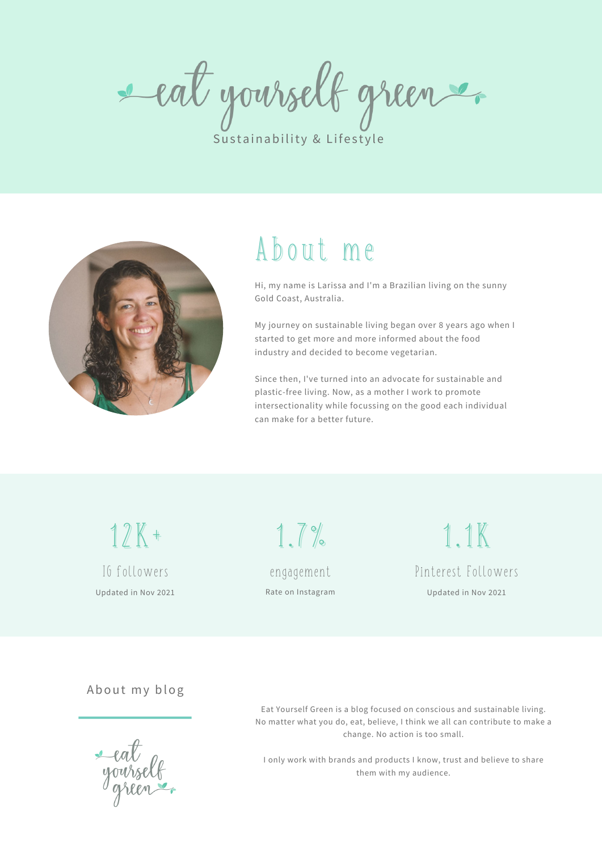eat yourself green

Sustainability & Lifestyle



## About me

Hi, my name is Larissa and I'm a Brazilian living on the sunny Gold Coast, Australia.

My journey on sustainable living began over 8 years ago when I started to get more and more informed about the food industry and decided to become vegetarian.

Since then, I've turned into an advocate for sustainable and plastic-free living. Now, as a mother I work to promote intersectionality while focussing on the good each individual can make for a better future.

12K+ IG followers Updated in Nov 2021

engagement Rate on Instagram

1.7%

1.1K Pinterest Followers Updated in Nov 2021

About my blog

Eat Yourself Green is a blog focused on conscious and sustainable living. No matter what you do, eat, believe, I think we all can contribute to make a change. No action is too small.

I only work with brands and products I know, trust and believe to share them with my audience.